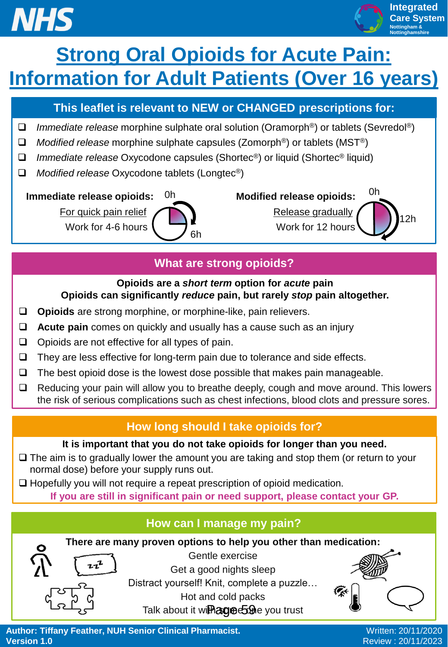# **NHS**



**Integrated Care System Nottingham & Nottinghamshire**

## **Strong Oral Opioids for Acute Pain: Information for Adult Patients (Over 16 years)**

#### **This leaflet is relevant to NEW or CHANGED prescriptions for:**

- *Immediate release* morphine sulphate oral solution (Oramorph®) or tablets (Sevredol®)
- *Modified release* morphine sulphate capsules (Zomorph®) or tablets (MST®)
- *Immediate release* Oxycodone capsules (Shortec®) or liquid (Shortec® liquid)
- *Modified release* Oxycodone tablets (Longtec®)

 **Immediate release opioids:**  $0h$  **Modified release opioids:** 



For quick pain relief **AN** Work for 4-6 hours  $\sqrt{ }$ 12h 0h

#### **What are strong opioids?**

#### **Opioids are a** *short term* **option for** *acute* **pain Opioids can significantly** *reduce* **pain, but rarely** *stop* **pain altogether.**

- **Opioids** are strong morphine, or morphine-like, pain relievers.
- **Acute pain** comes on quickly and usually has a cause such as an injury
- $\Box$  Opioids are not effective for all types of pain.
- $\Box$  They are less effective for long-term pain due to tolerance and side effects.
- $\Box$  The best opioid dose is the lowest dose possible that makes pain manageable.
- $\Box$  Reducing your pain will allow you to breathe deeply, cough and move around. This lowers the risk of serious complications such as chest infections, blood clots and pressure sores.

### **How long should I take opioids for?**

#### **It is important that you do not take opioids for longer than you need.**

- $\Box$  The aim is to gradually lower the amount you are taking and stop them (or return to your normal dose) before your supply runs out.
- $\Box$  Hopefully you will not require a repeat prescription of opioid medication.

**If you are still in significant pain or need support, please contact your GP.** 

#### **How can I manage my pain?**

**There are many proven options to help you other than medication:**



Gentle exercise Get a good nights sleep Distract yourself! Knit, complete a puzzle… Hot and cold packs



Talk about it wi**fhage 59** e you trust<br>
Notice on the Section of Clinical Pharmacist.<br>
Review : 20/11/2023 **Author: Tiffany Feather, NUH Senior Clinical Pharmacist. Version 1.0**

Written: 20/11/2020